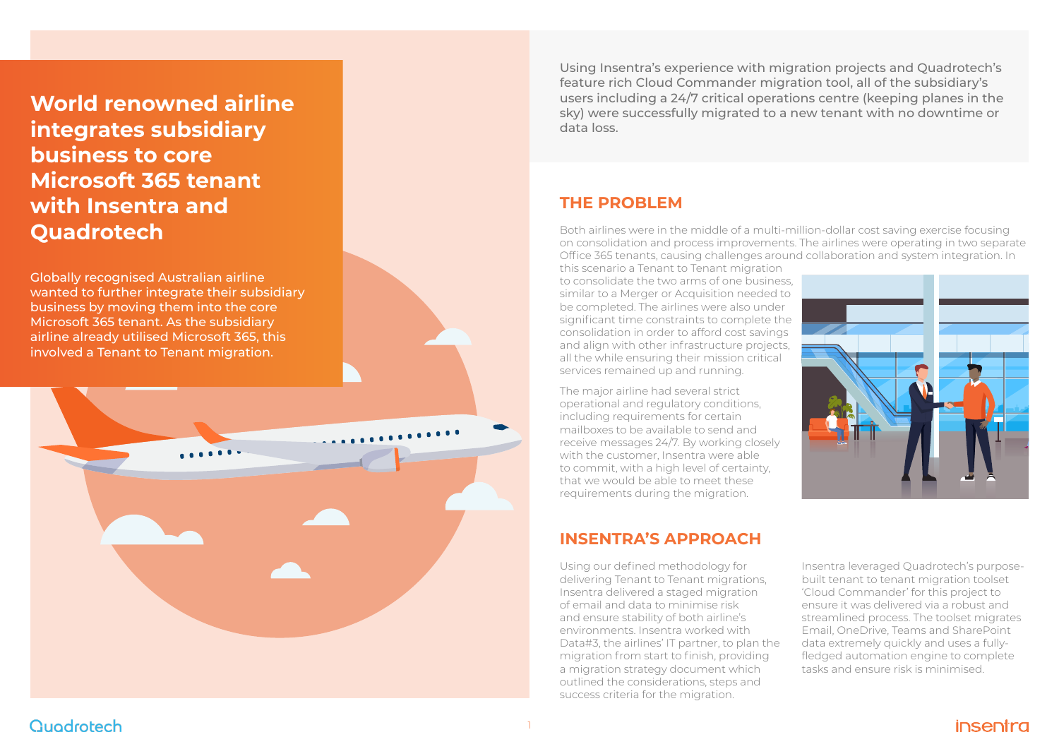

# **THE PROBLEM**

Both airlines were in the middle of a multi-million-dollar cost saving exercise focusing on consolidation and process improvements. The airlines were operating in two separate Office 365 tenants, causing challenges around collaboration and system integration. In this scenario a Tenant to Tenant migration to consolidate the two arms of one business, similar to a Merger or Acquisition needed to be completed. The airlines were also under significant time constraints to complete the consolidation in order to afford cost savings and align with other infrastructure projects, all the while ensuring their mission critical services remained up and running.

The major airline had several strict operational and regulatory conditions, including requirements for certain mailboxes to be available to send and receive messages 24/7. By working closely with the customer, Insentra were able to commit, with a high level of certainty, that we would be able to meet these requirements during the migration.

**World renowned airline integrates subsidiary business to core Microsoft 365 tenant with Insentra and Quadrotech**

Using Insentra's experience with migration projects and Quadrotech's feature rich Cloud Commander migration tool, all of the subsidiary's users including a 24/7 critical operations centre (keeping planes in the sky) were successfully migrated to a new tenant with no downtime or data loss.

Using our defined methodology for delivering Tenant to Tenant migrations, Insentra delivered a staged migration of email and data to minimise risk and ensure stability of both airline's environments. Insentra worked with Data#3, the airlines' IT partner, to plan the migration from start to finish, providing a migration strategy document which outlined the considerations, steps and success criteria for the migration.

# Quodrotech

# **INSENTRA'S APPROACH**

Globally recognised Australian airline wanted to further integrate their subsidiary business by moving them into the core Microsoft 365 tenant. As the subsidiary airline already utilised Microsoft 365, this involved a Tenant to Tenant migration.

> Insentra leveraged Quadrotech's purposebuilt tenant to tenant migration toolset 'Cloud Commander' for this project to ensure it was delivered via a robust and streamlined process. The toolset migrates Email, OneDrive, Teams and SharePoint data extremely quickly and uses a fullyfledged automation engine to complete tasks and ensure risk is minimised.